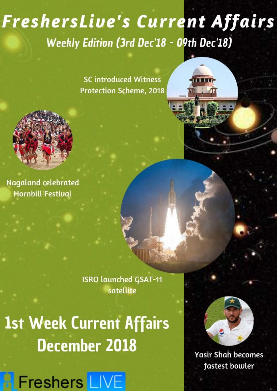# **FreshersLive's Current Affairs Weekly Edition (3rd Dec'18 - 09th Dec'18)**

**SC introduced Witness Protection Scheme, 2018** 



**Hornbill Festival** 

**ISRO launched GSAT-11** satellite

**1st Week Current Affairs December 2018** 





**Yasir Shah becomes** fastest bowler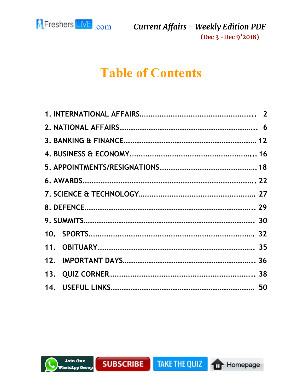

# **Table of Contents**





П

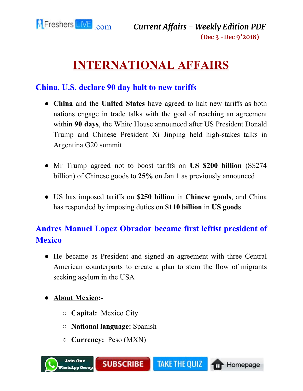<span id="page-2-0"></span>

# **INTERNATIONAL AFFAIRS**

#### **China, U.S. declare 90 day halt to new tariffs**

- **China** and the **United States** have agreed to halt new tariffs as both nations engage in trade talks with the goal of reaching an agreement within **90 days**, the White House announced after US President Donald Trump and Chinese President Xi Jinping held high-stakes talks in Argentina G20 summit
- Mr Trump agreed not to boost tariffs on **US \$200 billion** (S\$274 billion) of Chinese goods to **25%** on Jan 1 as previously announced
- US has imposed tariffs on **\$250 billion** in **Chinese goods**, and China has responded by imposing duties on **\$110 billion** in **US goods**

# **Andres Manuel Lopez Obrador became first leftist president of Mexico**

● He became as President and signed an agreement with three Central American counterparts to create a plan to stem the flow of migrants seeking asylum in the USA

#### **● About Mexico:-**

- **Capital:** Mexico City
- **National language:** Spanish
- **Currency:** Peso (MXN)

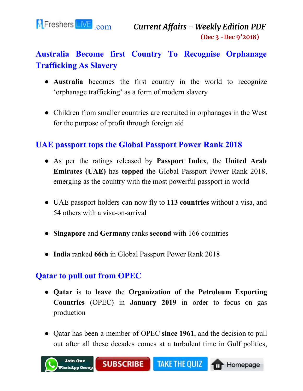

# **Australia Become first Country To Recognise Orphanage Trafficking As Slavery**

- **Australia** becomes the first country in the world to recognize 'orphanage trafficking' as a form of modern slavery
- Children from smaller countries are recruited in orphanages in the West for the purpose of profit through foreign aid

#### **UAE passport tops the Global Passport Power Rank 2018**

- As per the ratings released by **Passport Index**, the **United Arab Emirates (UAE)** has **topped** the Global Passport Power Rank 2018, emerging as the country with the most powerful passport in world
- UAE passport holders can now fly to **113 countries** without a visa, and 54 others with a visa-on-arrival
- **Singapore** and **Germany** ranks **second** with 166 countries
- **India** ranked **66th** in Global Passport Power Rank 2018

#### **Qatar to pull out from OPEC**

- **Qatar** is to **leave** the **Organization of the Petroleum Exporting Countries** (OPEC) in **January 2019** in order to focus on gas production
- Qatar has been a member of OPEC **since 1961**, and the decision to pull out after all these decades comes at a turbulent time in Gulf politics,

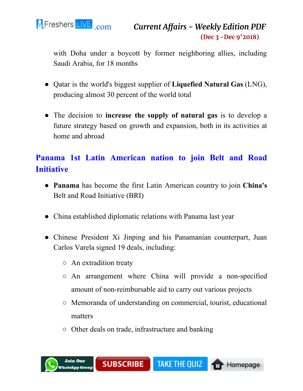

with Doha under a boycott by former neighboring allies, including Saudi Arabia, for 18 months

- Qatar is the world's biggest supplier of **Liquefied Natural Gas** (LNG), producing almost 30 percent of the world total
- The decision to **increase the supply of natural gas** is to develop a future strategy based on growth and expansion, both in its activities at home and abroad

### **Panama 1st Latin American nation to join Belt and Road Initiative**

- **Panama** has become the first Latin American country to join **China's** Belt and Road Initiative (BRI)
- China established diplomatic relations with Panama last year
- Chinese President Xi Jinping and his Panamanian counterpart, Juan Carlos Varela signed 19 deals, including:
	- An extradition treaty
	- An arrangement where China will provide a non-specified amount of non-reimbursable aid to carry out various projects
	- Memoranda of understanding on commercial, tourist, educational matters
	- Other deals on trade, infrastructure and banking

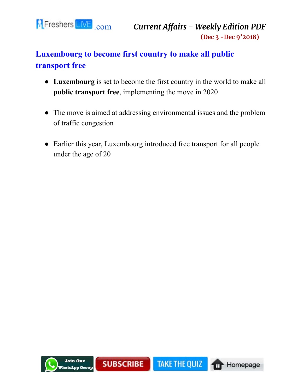

# **Luxembourg to become first country to make all public transport free**

- **Luxembourg** is set to become the first country in the world to make all **public transport free**, implementing the move in 2020
- The move is aimed at addressing environmental issues and the problem of traffic congestion
- Earlier this year, Luxembourg introduced free transport for all people under the age of 20

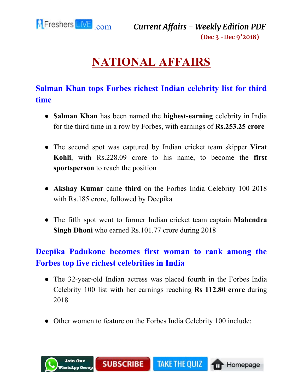<span id="page-6-0"></span>

# **NATIONAL AFFAIRS**

### **Salman Khan tops Forbes richest Indian celebrity list for third time**

- **Salman Khan** has been named the **highest-earning** celebrity in India for the third time in a row by Forbes, with earnings of **Rs.253.25 crore**
- The second spot was captured by Indian cricket team skipper **Virat Kohli**, with Rs.228.09 crore to his name, to become the **first sportsperson** to reach the position
- **Akshay Kumar** came **third** on the Forbes India Celebrity 100 2018 with Rs.185 crore, followed by Deepika
- The fifth spot went to former Indian cricket team captain **Mahendra Singh Dhoni** who earned Rs.101.77 crore during 2018

### **Deepika Padukone becomes first woman to rank among the Forbes top five richest celebrities in India**

- The 32-year-old Indian actress was placed fourth in the Forbes India Celebrity 100 list with her earnings reaching **Rs 112.80 crore** during 2018
- Other women to feature on the Forbes India Celebrity 100 include:

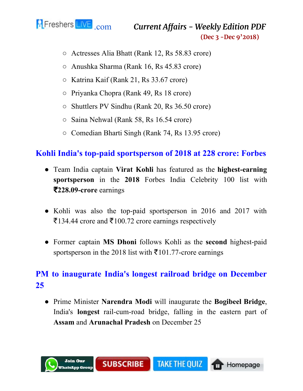

- Actresses Alia Bhatt (Rank 12, Rs 58.83 crore)
- Anushka Sharma (Rank 16, Rs 45.83 crore)
- Katrina Kaif (Rank 21, Rs 33.67 crore)
- Priyanka Chopra (Rank 49, Rs 18 crore)
- Shuttlers PV Sindhu (Rank 20, Rs 36.50 crore)
- Saina Nehwal (Rank 58, Rs 16.54 crore)
- Comedian Bharti Singh (Rank 74, Rs 13.95 crore)

#### **Kohli India's top-paid sportsperson of 2018 at 228 crore: Forbes**

- Team India captain **Virat Kohli** has featured as the **highest-earning sportsperson** in the **2018** Forbes India Celebrity 100 list with ₹**228.09-crore** earnings
- Kohli was also the top-paid sportsperson in 2016 and 2017 with ₹134.44 crore and ₹100.72 crore earnings respectively
- Former captain **MS Dhoni** follows Kohli as the **second** highest-paid sportsperson in the 2018 list with  $\bar{\tau}$ 101.77-crore earnings

#### **PM to inaugurate India's longest railroad bridge on December 25**

● Prime Minister **Narendra Modi** will inaugurate the **Bogibeel Bridge**, India's **longest** rail-cum-road bridge, falling in the eastern part of **Assam** and **Arunachal Pradesh** on December 25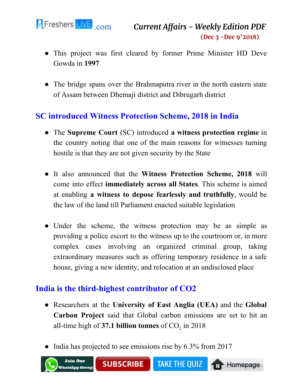

- This project was first cleared by former Prime Minister HD Deve Gowda in **1997**
- The bridge spans over the Brahmaputra river in the north eastern state of Assam between Dhemaji district and Dibrugarh district

#### **SC introduced Witness Protection Scheme, 2018 in India**

- The **Supreme Court** (SC) introduced **a witness protection regime** in the country noting that one of the main reasons for witnesses turning hostile is that they are not given security by the State
- It also announced that the **Witness Protection Scheme, 2018** will come into effect **immediately across all States**. This scheme is aimed at enabling **a witness to depose fearlessly and truthfully**, would be the law of the land till Parliament enacted suitable legislation
- Under the scheme, the witness protection may be as simple as providing a police escort to the witness up to the courtroom or, in more complex cases involving an organized criminal group, taking extraordinary measures such as offering temporary residence in a safe house, giving a new identity, and relocation at an undisclosed place

#### **India is the third-highest contributor of CO2**

- Researchers at the **University of East Anglia (UEA)** and the **Global Carbon Project** said that Global carbon emissions are set to hit an all-time high of **37.1 billion tonnes** of  $CO<sub>2</sub>$  in 2018
- India has projected to see emissions rise by 6.3% from 2017

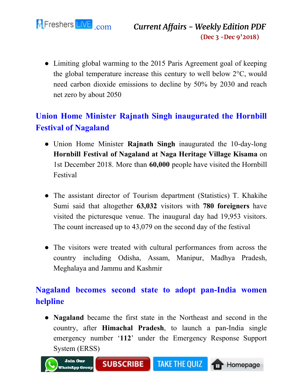

• Limiting global warming to the 2015 Paris Agreement goal of keeping the global temperature increase this century to well below 2°C, would need carbon dioxide emissions to decline by 50% by 2030 and reach net zero by about 2050

# **Union Home Minister Rajnath Singh inaugurated the Hornbill Festival of Nagaland**

- Union Home Minister **Rajnath Singh** inaugurated the 10-day-long **Hornbill Festival of Nagaland at Naga Heritage Village Kisama** on 1st December 2018. More than **60,000** people have visited the Hornbill Festival
- The assistant director of Tourism department (Statistics) T. Khakihe Sumi said that altogether **63,032** visitors with **780 foreigners** have visited the picturesque venue. The inaugural day had 19,953 visitors. The count increased up to 43,079 on the second day of the festival
- The visitors were treated with cultural performances from across the country including Odisha, Assam, Manipur, Madhya Pradesh, Meghalaya and Jammu and Kashmir

### **Nagaland becomes second state to adopt pan-India women helpline**

● **Nagaland** became the first state in the Northeast and second in the country, after **Himachal Pradesh**, to launch a pan-India single emergency number '**112**' under the Emergency Response Support System (ERSS)

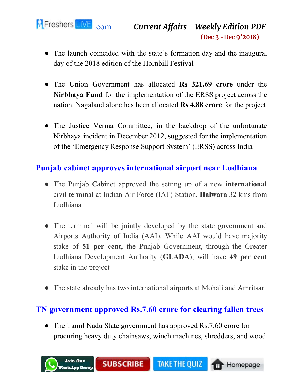

- The launch coincided with the state's formation day and the inaugural day of the 2018 edition of the Hornbill Festival
- The Union Government has allocated **Rs 321.69 crore** under the **Nirbhaya Fund** for the implementation of the ERSS project across the nation. Nagaland alone has been allocated **Rs 4.88 crore** for the project
- The Justice Verma Committee, in the backdrop of the unfortunate Nirbhaya incident in December 2012, suggested for the implementation of the 'Emergency Response Support System' (ERSS) across India

#### **Punjab cabinet approves international airport near Ludhiana**

- The Punjab Cabinet approved the setting up of a new **international** civil terminal at Indian Air Force (IAF) Station, **Halwara** 32 kms from Ludhiana
- The terminal will be jointly developed by the state government and Airports Authority of India (AAI). While AAI would have majority stake of **51 per cent**, the Punjab Government, through the Greater Ludhiana Development Authority (**GLADA**), will have **49 per cent** stake in the project
- The state already has two international airports at Mohali and Amritsar

#### **TN government approved Rs.7.60 crore for clearing fallen trees**

• The Tamil Nadu State government has approved Rs. 7.60 crore for procuring heavy duty chainsaws, winch machines, shredders, and wood

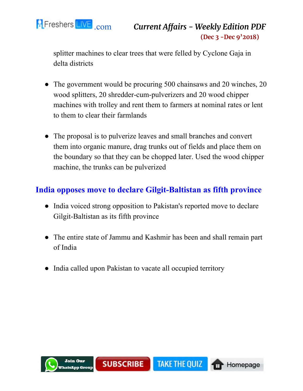

splitter machines to clear trees that were felled by Cyclone Gaja in delta districts

- The government would be procuring 500 chainsaws and 20 winches, 20 wood splitters, 20 shredder-cum-pulverizers and 20 wood chipper machines with trolley and rent them to farmers at nominal rates or lent to them to clear their farmlands
- The proposal is to pulverize leaves and small branches and convert them into organic manure, drag trunks out of fields and place them on the boundary so that they can be chopped later. Used the wood chipper machine, the trunks can be pulverized

#### **India opposes move to declare Gilgit-Baltistan as fifth province**

- India voiced strong opposition to Pakistan's reported move to declare Gilgit-Baltistan as its fifth province
- The entire state of Jammu and Kashmir has been and shall remain part of India
- India called upon Pakistan to vacate all occupied territory

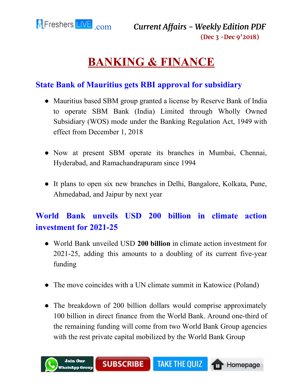<span id="page-12-0"></span>

# **BANKING & FINANCE**

#### **State Bank of Mauritius gets RBI approval for subsidiary**

- Mauritius based SBM group granted a license by Reserve Bank of India to operate SBM Bank (India) Limited through Wholly Owned Subsidiary (WOS) mode under the Banking Regulation Act, 1949 with effect from December 1, 2018
- Now at present SBM operate its branches in Mumbai, Chennai, Hyderabad, and Ramachandrapuram since 1994
- It plans to open six new branches in Delhi, Bangalore, Kolkata, Pune, Ahmedabad, and Jaipur by next year

# **World Bank unveils USD 200 billion in climate action investment for 2021-25**

- World Bank unveiled USD **200 billion** in climate action investment for 2021-25, adding this amounts to a doubling of its current five-year funding
- The move coincides with a UN climate summit in Katowice (Poland)
- The breakdown of 200 billion dollars would comprise approximately 100 billion in direct finance from the World Bank. Around one-third of the remaining funding will come from two World Bank Group agencies with the rest private capital mobilized by the World Bank Group

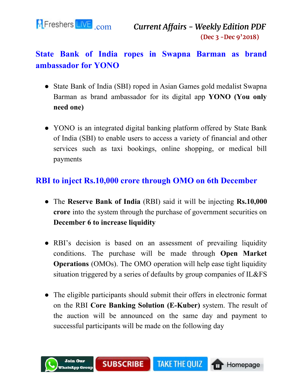

### **State Bank of India ropes in Swapna Barman as brand ambassador for YONO**

- State Bank of India (SBI) roped in Asian Games gold medalist Swapna Barman as brand ambassador for its digital app **YONO (You only need one)**
- YONO is an integrated digital banking platform offered by State Bank of India (SBI) to enable users to access a variety of financial and other services such as taxi bookings, online shopping, or medical bill payments

#### **RBI to inject Rs.10,000 crore through OMO on 6th December**

- The **Reserve Bank of India** (RBI) said it will be injecting **Rs.10,000 crore** into the system through the purchase of government securities on **December 6 to increase liquidity**
- RBI's decision is based on an assessment of prevailing liquidity conditions. The purchase will be made through **Open Market Operations** (OMOs). The OMO operation will help ease tight liquidity situation triggered by a series of defaults by group companies of IL&FS
- The eligible participants should submit their offers in electronic format on the RBI **Core Banking Solution (E-Kuber)** system. The result of the auction will be announced on the same day and payment to successful participants will be made on the following day

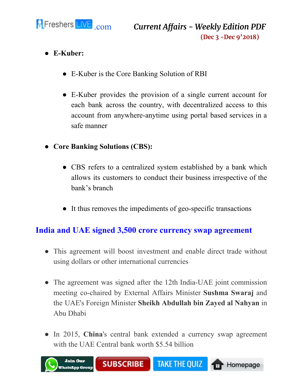

- **● E-Kuber:**
	- E-Kuber is the Core Banking Solution of RBI
	- E-Kuber provides the provision of a single current account for each bank across the country, with decentralized access to this account from anywhere-anytime using portal based services in a safe manner
- **● Core Banking Solutions (CBS):**
	- CBS refers to a centralized system established by a bank which allows its customers to conduct their business irrespective of the bank's branch
	- It thus removes the impediments of geo-specific transactions

#### **India and UAE signed 3,500 crore currency swap agreement**

- This agreement will boost investment and enable direct trade without using dollars or other international currencies
- The agreement was signed after the 12th India-UAE joint commission meeting co-chaired by External Affairs Minister **Sushma Swaraj** and the UAE's Foreign Minister **Sheikh Abdullah bin Zayed al Nahyan** in Abu Dhabi
- In 2015, China's central bank extended a currency swap agreement with the UAE Central bank worth \$5.54 billion

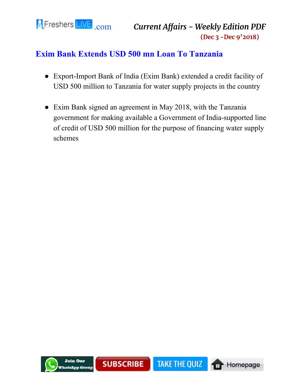

#### **Exim Bank Extends USD 500 mn Loan To Tanzania**

- Export-Import Bank of India (Exim Bank) extended a credit facility of USD 500 million to Tanzania for water supply projects in the country
- Exim Bank signed an agreement in May 2018, with the Tanzania government for making available a Government of India-supported line of credit of USD 500 million for the purpose of financing water supply schemes

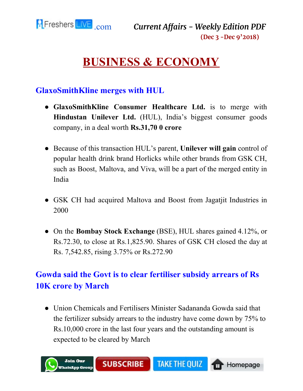<span id="page-16-0"></span>

# **BUSINESS & ECONOMY**

#### **GlaxoSmithKline merges with HUL**

- **GlaxoSmithKline Consumer Healthcare Ltd.** is to merge with **Hindustan Unilever Ltd.** (HUL), India's biggest consumer goods company, in a deal worth **Rs.31,70 0 crore**
- Because of this transaction HUL's parent, **Unilever will gain** control of popular health drink brand Horlicks while other brands from GSK CH, such as Boost, Maltova, and Viva, will be a part of the merged entity in India
- GSK CH had acquired Maltova and Boost from Jagatjit Industries in 2000
- On the **Bombay Stock Exchange** (BSE), HUL shares gained 4.12%, or Rs.72.30, to close at Rs.1,825.90. Shares of GSK CH closed the day at Rs. 7,542.85, rising 3.75% or Rs.272.90

# **Gowda said the Govt is to clear fertiliser subsidy arrears of Rs 10K crore by March**

● Union Chemicals and Fertilisers Minister Sadananda Gowda said that the fertilizer subsidy arrears to the industry have come down by 75% to Rs.10,000 crore in the last four years and the outstanding amount is expected to be cleared by March

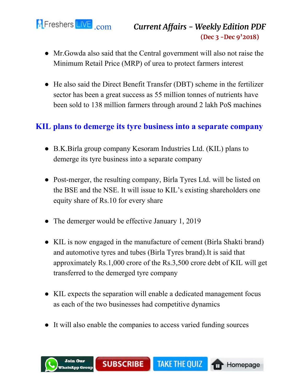

- Mr.Gowda also said that the Central government will also not raise the Minimum Retail Price (MRP) of urea to protect farmers interest
- He also said the Direct Benefit Transfer (DBT) scheme in the fertilizer sector has been a great success as 55 million tonnes of nutrients have been sold to 138 million farmers through around 2 lakh PoS machines

#### **KIL plans to demerge its tyre business into a separate company**

- B.K.Birla group company Kesoram Industries Ltd. (KIL) plans to demerge its tyre business into a separate company
- Post-merger, the resulting company, Birla Tyres Ltd. will be listed on the BSE and the NSE. It will issue to KIL's existing shareholders one equity share of Rs.10 for every share
- The demerger would be effective January 1, 2019
- KIL is now engaged in the manufacture of cement (Birla Shakti brand) and automotive tyres and tubes (Birla Tyres brand).It is said that approximately Rs.1,000 crore of the Rs.3,500 crore debt of KIL will get transferred to the demerged tyre company
- KIL expects the separation will enable a dedicated management focus as each of the two businesses had competitive dynamics
- It will also enable the companies to access varied funding sources

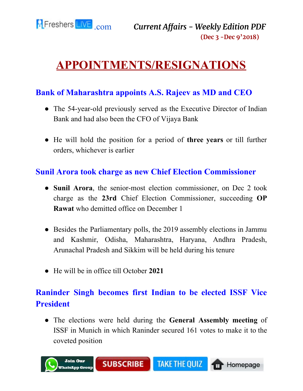

# <span id="page-18-0"></span>**APPOINTMENTS/RESIGNATIONS**

#### **Bank of Maharashtra appoints A.S. Rajeev as MD and CEO**

- The 54-year-old previously served as the Executive Director of Indian Bank and had also been the CFO of Vijaya Bank
- He will hold the position for a period of **three years** or till further orders, whichever is earlier

#### **Sunil Arora took charge as new Chief Election Commissioner**

- **Sunil Arora**, the senior-most election commissioner, on Dec 2 took charge as the **23rd** Chief Election Commissioner, succeeding **OP Rawat** who demitted office on December 1
- Besides the Parliamentary polls, the 2019 assembly elections in Jammu and Kashmir, Odisha, Maharashtra, Haryana, Andhra Pradesh, Arunachal Pradesh and Sikkim will be held during his tenure
- He will be in office till October **2021**

# **Raninder Singh becomes first Indian to be elected ISSF Vice President**

● The elections were held during the **General Assembly meeting** of ISSF in Munich in which Raninder secured 161 votes to make it to the coveted position

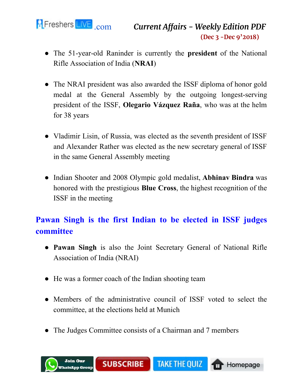

- The 51-year-old Raninder is currently the **president** of the National Rifle Association of India (**NRAI**)
- The NRAI president was also awarded the ISSF diploma of honor gold medal at the General Assembly by the outgoing longest-serving president of the ISSF, **Olegario Vázquez Raña**, who was at the helm for 38 years
- Vladimir Lisin, of Russia, was elected as the seventh president of ISSF and Alexander Rather was elected as the new secretary general of ISSF in the same General Assembly meeting
- Indian Shooter and 2008 Olympic gold medalist, **Abhinav Bindra** was honored with the prestigious **Blue Cross**, the highest recognition of the ISSF in the meeting

# **Pawan Singh is the first Indian to be elected in ISSF judges committee**

- **Pawan Singh** is also the Joint Secretary General of National Rifle Association of India (NRAI)
- He was a former coach of the Indian shooting team
- Members of the administrative council of ISSF voted to select the committee, at the elections held at Munich
- The Judges Committee consists of a Chairman and 7 members

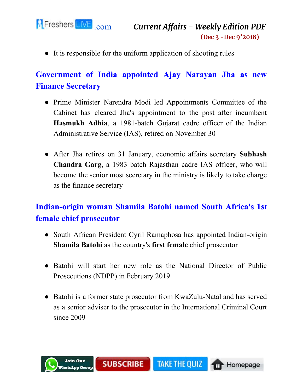

● It is responsible for the uniform application of shooting rules

# **Government of India appointed Ajay Narayan Jha as new Finance Secretary**

- Prime Minister Narendra Modi led Appointments Committee of the Cabinet has cleared Jha's appointment to the post after incumbent **Hasmukh Adhia**, a 1981-batch Gujarat cadre officer of the Indian Administrative Service (IAS), retired on November 30
- After Jha retires on 31 January, economic affairs secretary **Subhash Chandra Garg**, a 1983 batch Rajasthan cadre IAS officer, who will become the senior most secretary in the ministry is likely to take charge as the finance secretary

# **Indian-origin woman Shamila Batohi named South Africa's 1st female chief prosecutor**

- South African President Cyril Ramaphosa has appointed Indian-origin **Shamila Batohi** as the country's **first female** chief prosecutor
- Batohi will start her new role as the National Director of Public Prosecutions (NDPP) in February 2019
- Batohi is a former state prosecutor from KwaZulu-Natal and has served as a senior adviser to the prosecutor in the International Criminal Court since 2009

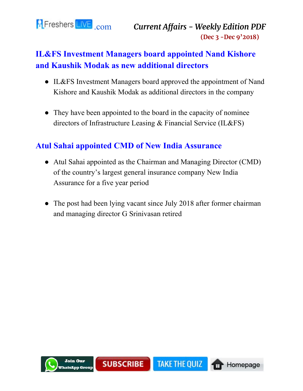

# **IL&FS Investment Managers board appointed Nand Kishore and Kaushik Modak as new additional directors**

- IL&FS Investment Managers board approved the appointment of Nand Kishore and Kaushik Modak as additional directors in the company
- They have been appointed to the board in the capacity of nominee directors of Infrastructure Leasing & Financial Service (IL&FS)

#### **Atul Sahai appointed CMD of New India Assurance**

- Atul Sahai appointed as the Chairman and Managing Director (CMD) of the country's largest general insurance company New India Assurance for a five year period
- The post had been lying vacant since July 2018 after former chairman and managing director G Srinivasan retired

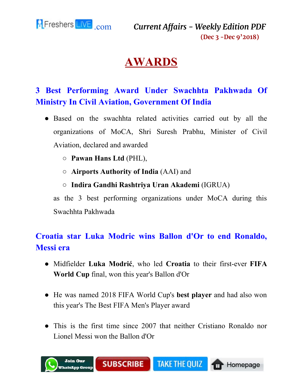<span id="page-22-0"></span>

# **AWARDS**

# **3 Best Performing Award Under Swachhta Pakhwada Of Ministry In Civil Aviation, Government Of India**

- Based on the swachhta related activities carried out by all the organizations of MoCA, Shri Suresh Prabhu, Minister of Civil Aviation, declared and awarded
	- **Pawan Hans Ltd** (PHL),
	- **Airports Authority of India** (AAI) and
	- **Indira Gandhi Rashtriya Uran Akademi** (IGRUA)

as the 3 best performing organizations under MoCA during this Swachhta Pakhwada

# **Croatia star Luka Modric wins Ballon d'Or to end Ronaldo, Messi era**

- Midfielder **Luka Modrić**, who led **Croatia** to their first-ever **FIFA World Cup** final, won this year's Ballon d'Or
- He was named 2018 FIFA World Cup's **best player** and had also won this year's The Best FIFA Men's Player award
- This is the first time since 2007 that neither Cristiano Ronaldo nor Lionel Messi won the Ballon d'Or

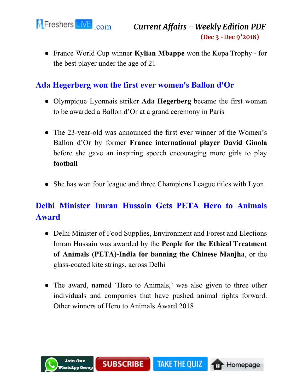

● France World Cup winner **Kylian Mbappe** won the Kopa Trophy - for the best player under the age of 21

#### **Ada Hegerberg won the first ever women's Ballon d'Or**

- Olympique Lyonnais striker **Ada Hegerberg** became the first woman to be awarded a Ballon d'Or at a grand ceremony in Paris
- The 23-year-old was announced the first ever winner of the Women's Ballon d'Or by former **France international player David Ginola** before she gave an inspiring speech encouraging more girls to play **football**
- She has won four league and three Champions League titles with Lyon

# **Delhi Minister Imran Hussain Gets PETA Hero to Animals Award**

- Delhi Minister of Food Supplies, Environment and Forest and Elections Imran Hussain was awarded by the **People for the Ethical Treatment of Animals (PETA)-India for banning the Chinese Manjha**, or the glass-coated kite strings, across Delhi
- The award, named 'Hero to Animals,' was also given to three other individuals and companies that have pushed animal rights forward. Other winners of Hero to Animals Award 2018

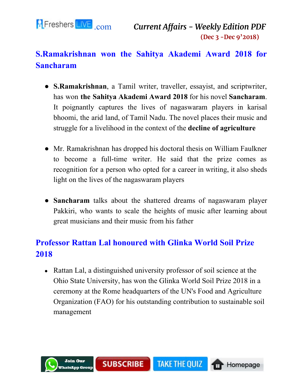

# **S.Ramakrishnan won the Sahitya Akademi Award 2018 for Sancharam**

- **S.Ramakrishnan**, a Tamil writer, traveller, essayist, and scriptwriter, has won **the Sahitya Akademi Award 2018** for his novel **Sancharam**. It poignantly captures the lives of nagaswaram players in karisal bhoomi, the arid land, of Tamil Nadu. The novel places their music and struggle for a livelihood in the context of the **decline of agriculture**
- Mr. Ramakrishnan has dropped his doctoral thesis on William Faulkner to become a full-time writer. He said that the prize comes as recognition for a person who opted for a career in writing, it also sheds light on the lives of the nagaswaram players
- **Sancharam** talks about the shattered dreams of nagaswaram player Pakkiri, who wants to scale the heights of music after learning about great musicians and their music from his father

# **Professor Rattan Lal honoured with Glinka World Soil Prize 2018**

• Rattan Lal, a distinguished university professor of soil science at the Ohio State University, has won the Glinka World Soil Prize 2018 in a ceremony at the Rome headquarters of the UN's Food and Agriculture Organization (FAO) for his outstanding contribution to sustainable soil management

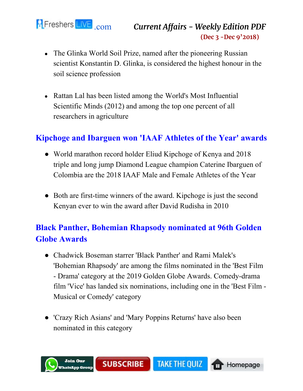

- The Glinka World Soil Prize, named after the pioneering Russian scientist Konstantin D. Glinka, is considered the highest honour in the soil science profession
- Rattan Lal has been listed among the World's Most Influential Scientific Minds (2012) and among the top one percent of all researchers in agriculture

#### **Kipchoge and Ibarguen won 'IAAF Athletes of the Year' awards**

- World marathon record holder Eliud Kipchoge of Kenya and 2018 triple and long jump Diamond League champion Caterine Ibarguen of Colombia are the 2018 IAAF Male and Female Athletes of the Year
- Both are first-time winners of the award. Kipchoge is just the second Kenyan ever to win the award after David Rudisha in 2010

# **Black Panther, Bohemian Rhapsody nominated at 96th Golden Globe Awards**

- Chadwick Boseman starrer 'Black Panther' and Rami Malek's 'Bohemian Rhapsody' are among the films nominated in the 'Best Film - Drama' category at the 2019 Golden Globe Awards. Comedy-drama film 'Vice' has landed six nominations, including one in the 'Best Film - Musical or Comedy' category
- 'Crazy Rich Asians' and 'Mary Poppins Returns' have also been nominated in this category

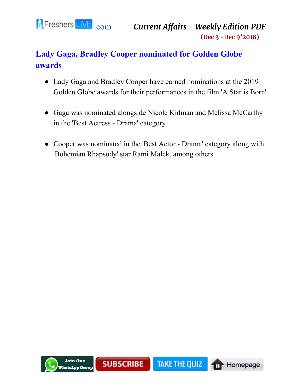

# **Lady Gaga, Bradley Cooper nominated for Golden Globe awards**

- Lady Gaga and Bradley Cooper have earned nominations at the 2019 Golden Globe awards for their performances in the film 'A Star is Born'
- Gaga was nominated alongside Nicole Kidman and Melissa McCarthy in the 'Best Actress - Drama' category
- Cooper was nominated in the 'Best Actor Drama' category along with 'Bohemian Rhapsody' star Rami Malek, among others

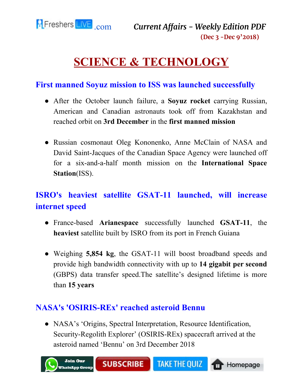<span id="page-27-0"></span>

# **SCIENCE & TECHNOLOGY**

#### **First manned Soyuz mission to ISS was launched successfully**

- After the October launch failure, a **Soyuz rocket** carrying Russian, American and Canadian astronauts took off from Kazakhstan and reached orbit on **3rd December** in the **first manned mission**
- Russian cosmonaut Oleg Kononenko, Anne McClain of NASA and David Saint-Jacques of the Canadian Space Agency were launched off for a six-and-a-half month mission on the **International Space Station**(ISS).

# **ISRO's heaviest satellite GSAT-11 launched, will increase internet speed**

- France-based **Arianespace** successfully launched **GSAT-11**, the **heaviest** satellite built by ISRO from its port in French Guiana
- Weighing **5,854 kg**, the GSAT-11 will boost broadband speeds and provide high bandwidth connectivity with up to **14 gigabit per second** (GBPS) data transfer speed.The satellite's designed lifetime is more than **15 years**

#### **NASA's 'OSIRIS-REx' reached asteroid Bennu**

• NASA's 'Origins, Spectral Interpretation, Resource Identification, Security-Regolith Explorer' (OSIRIS-REx) spacecraft arrived at the asteroid named 'Bennu' on 3rd December 2018

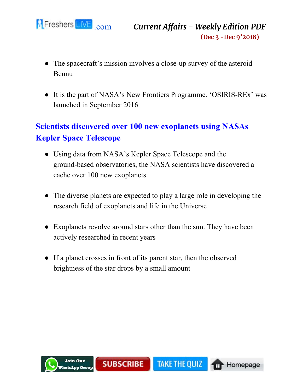

- The spacecraft's mission involves a close-up survey of the asteroid Bennu
- It is the part of NASA's New Frontiers Programme. 'OSIRIS-REx' was launched in September 2016

# **Scientists discovered over 100 new exoplanets using NASAs Kepler Space Telescope**

- Using data from NASA's Kepler Space Telescope and the ground-based observatories, the NASA scientists have discovered a cache over 100 new exoplanets
- The diverse planets are expected to play a large role in developing the research field of exoplanets and life in the Universe
- Exoplanets revolve around stars other than the sun. They have been actively researched in recent years
- If a planet crosses in front of its parent star, then the observed brightness of the star drops by a small amount

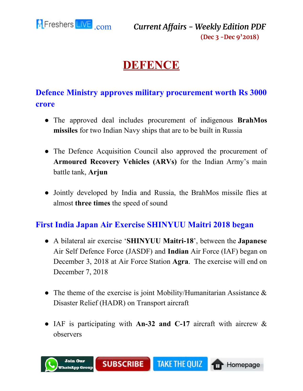<span id="page-29-0"></span>

# **DEFENCE**

### **Defence Ministry approves military procurement worth Rs 3000 crore**

- The approved deal includes procurement of indigenous **BrahMos missiles** for two Indian Navy ships that are to be built in Russia
- The Defence Acquisition Council also approved the procurement of **Armoured Recovery Vehicles (ARVs)** for the Indian Army's main battle tank, **Arjun**
- Jointly developed by India and Russia, the BrahMos missile flies at almost **three times** the speed of sound

#### **First India Japan Air Exercise SHINYUU Maitri 2018 began**

- A bilateral air exercise '**SHINYUU Maitri-18**', between the **Japanese** Air Self Defence Force (JASDF) and **Indian** Air Force (IAF) began on December 3, 2018 at Air Force Station **Agra**. The exercise will end on December 7, 2018
- The theme of the exercise is joint Mobility/Humanitarian Assistance  $\&$ Disaster Relief (HADR) on Transport aircraft
- IAF is participating with **An-32 and C-17** aircraft with aircrew & observers

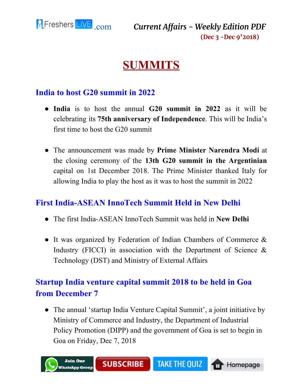<span id="page-30-0"></span>

# **SUMMITS**

#### **India to host G20 summit in 2022**

- **India** is to host the annual **G20 summit in 2022** as it will be celebrating its **75th anniversary of Independence**. This will be India's first time to host the G20 summit
- The announcement was made by **Prime Minister Narendra Modi** at the closing ceremony of the **13th G20 summit in the Argentinian** capital on 1st December 2018. The Prime Minister thanked Italy for allowing India to play the host as it was to host the summit in 2022

#### **First India-ASEAN InnoTech Summit Held in New Delhi**

- The first India-ASEAN InnoTech Summit was held in **New Delhi**
- It was organized by Federation of Indian Chambers of Commerce & Industry (FICCI) in association with the Department of Science  $\&$ Technology (DST) and Ministry of External Affairs

### **Startup India venture capital summit 2018 to be held in Goa from December 7**

• The annual 'startup India Venture Capital Summit', a joint initiative by Ministry of Commerce and Industry, the Department of Industrial Policy Promotion (DIPP) and the government of Goa is set to begin in Goa on Friday, Dec 7, 2018

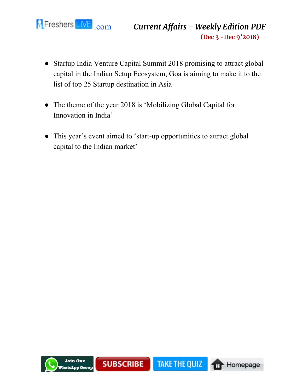

- Startup India Venture Capital Summit 2018 promising to attract global capital in the Indian Setup Ecosystem, Goa is aiming to make it to the list of top 25 Startup destination in Asia
- The theme of the year 2018 is 'Mobilizing Global Capital for Innovation in India'
- This year's event aimed to 'start-up opportunities to attract global capital to the Indian market'

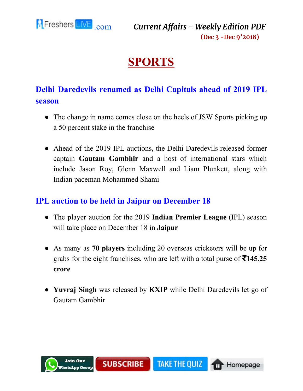<span id="page-32-0"></span>

# **SPORTS**

# **Delhi Daredevils renamed as Delhi Capitals ahead of 2019 IPL season**

- The change in name comes close on the heels of JSW Sports picking up a 50 percent stake in the franchise
- Ahead of the 2019 IPL auctions, the Delhi Daredevils released former captain **Gautam Gambhir** and a host of international stars which include Jason Roy, Glenn Maxwell and Liam Plunkett, along with Indian paceman Mohammed Shami

#### **IPL auction to be held in Jaipur on December 18**

- The player auction for the 2019 **Indian Premier League** (IPL) season will take place on December 18 in **Jaipur**
- As many as **70 players** including 20 overseas cricketers will be up for grabs for the eight franchises, who are left with a total purse of ₹**145.25 crore**
- **Yuvraj Singh** was released by **KXIP** while Delhi Daredevils let go of Gautam Gambhir

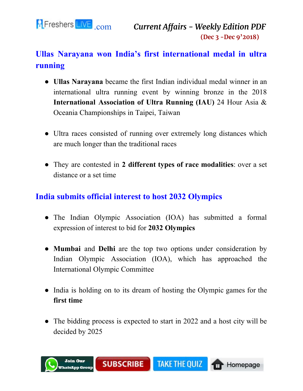

# **Ullas Narayana won India's first international medal in ultra running**

- **Ullas Narayana** became the first Indian individual medal winner in an international ultra running event by winning bronze in the 2018 **International Association of Ultra Running (IAU)** 24 Hour Asia & Oceania Championships in Taipei, Taiwan
- Ultra races consisted of running over extremely long distances which are much longer than the traditional races
- They are contested in **2 different types of race modalities**: over a set distance or a set time

#### **India submits official interest to host 2032 Olympics**

- The Indian Olympic Association (IOA) has submitted a formal expression of interest to bid for **2032 Olympics**
- **Mumbai** and **Delhi** are the top two options under consideration by Indian Olympic Association (IOA), which has approached the International Olympic Committee
- India is holding on to its dream of hosting the Olympic games for the **first time**
- The bidding process is expected to start in 2022 and a host city will be decided by 2025

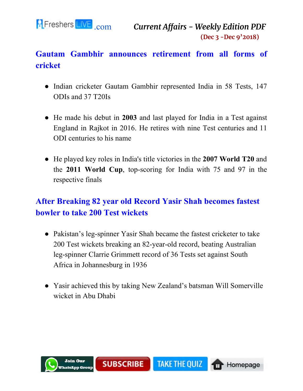

# **Gautam Gambhir announces retirement from all forms of cricket**

- Indian cricketer Gautam Gambhir represented India in 58 Tests, 147 ODIs and 37 T20Is
- He made his debut in **2003** and last played for India in a Test against England in Rajkot in 2016. He retires with nine Test centuries and 11 ODI centuries to his name
- He played key roles in India's title victories in the **2007 World T20** and the **2011 World Cup**, top-scoring for India with 75 and 97 in the respective finals

### **After Breaking 82 year old Record Yasir Shah becomes fastest bowler to take 200 Test wickets**

- Pakistan's leg-spinner Yasir Shah became the fastest cricketer to take 200 Test wickets breaking an 82-year-old record, beating Australian leg-spinner Clarrie Grimmett record of 36 Tests set against South Africa in Johannesburg in 1936
- Yasir achieved this by taking New Zealand's batsman Will Somerville wicket in Abu Dhabi

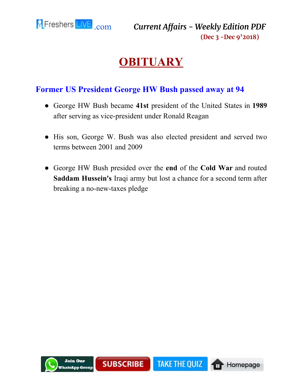<span id="page-35-0"></span>

# **OBITUARY**

#### **Former US President George HW Bush passed away at 94**

- George HW Bush became **41st** president of the United States in **1989** after serving as vice-president under Ronald Reagan
- His son, George W. Bush was also elected president and served two terms between 2001 and 2009
- George HW Bush presided over the **end** of the **Cold War** and routed **Saddam Hussein's** Iraqi army but lost a chance for a second term after breaking a no-new-taxes pledge

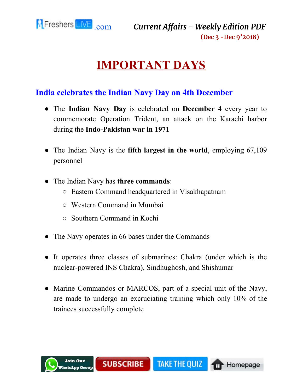<span id="page-36-0"></span>

# **IMPORTANT DAYS**

#### **India celebrates the Indian Navy Day on 4th December**

- The **Indian Navy Day** is celebrated on **December 4** every year to commemorate Operation Trident, an attack on the Karachi harbor during the **Indo-Pakistan war in 1971**
- The Indian Navy is the **fifth largest in the world**, employing 67,109 personnel
- The Indian Navy has **three commands**:
	- Eastern Command headquartered in Visakhapatnam
	- Western Command in Mumbai
	- Southern Command in Kochi
- The Navy operates in 66 bases under the Commands
- It operates three classes of submarines: Chakra (under which is the nuclear-powered INS Chakra), Sindhughosh, and Shishumar
- Marine Commandos or MARCOS, part of a special unit of the Navy, are made to undergo an excruciating training which only 10% of the trainees successfully complete

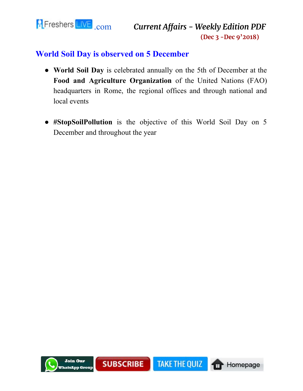

#### **World Soil Day is observed on 5 December**

- **World Soil Day** is celebrated annually on the 5th of December at the **Food and Agriculture Organization** of the United Nations (FAO) headquarters in Rome, the regional offices and through national and local events
- **#StopSoilPollution** is the objective of this World Soil Day on 5 December and throughout the year

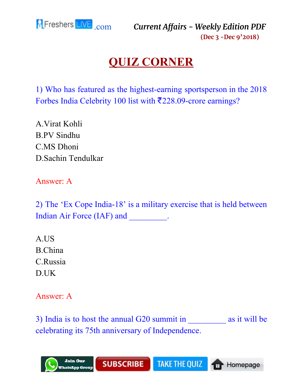<span id="page-38-0"></span>

# **QUIZ CORNER**

1) Who has featured as the highest-earning sportsperson in the 2018 Forbes India Celebrity 100 list with ₹228.09-crore earnings?

A.Virat Kohli B.PV Sindhu C.MS Dhoni D.Sachin Tendulkar

Answer: A

2) The 'Ex Cope India-18' is a military exercise that is held between Indian Air Force (IAF) and \_\_\_\_\_\_\_\_\_.

A.US B.China C.Russia D.UK

Answer: A

3) India is to host the annual G20 summit in as it will be celebrating its 75th anniversary of Independence.

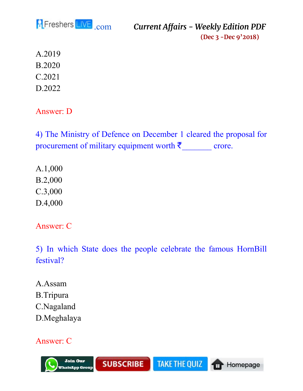

A.2019 B.2020 C.2021 D.2022

Answer: D

4) The Ministry of Defence on December 1 cleared the proposal for procurement of military equipment worth  $\bar{z}$  crore.

A.1,000 B.2,000 C.3,000 D.4,000

Answer: C

5) In which State does the people celebrate the famous HornBill festival?

A.Assam B.Tripura C.Nagaland D.Meghalaya

#### Answer: C

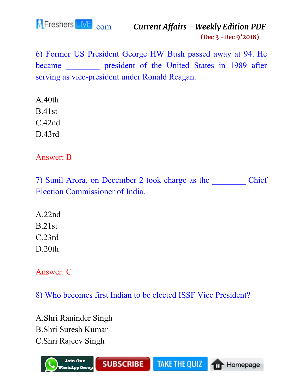

6) Former US President George HW Bush passed away at 94. He became **president of the United States in 1989 after** serving as vice-president under Ronald Reagan.

A.40th B.41st C.42nd D.43rd

Answer: B

7) Sunil Arora, on December 2 took charge as the Chief Election Commissioner of India.

A.22nd B.21st C.23rd D.20th

Answer: C

8) Who becomes first Indian to be elected ISSF Vice President?

A.Shri Raninder Singh B.Shri Suresh Kumar C.Shri Rajeev Singh

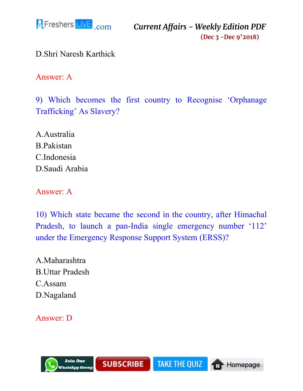

D.Shri Naresh Karthick

Answer: A

9) Which becomes the first country to Recognise 'Orphanage Trafficking' As Slavery?

A.Australia B.Pakistan C.Indonesia D.Saudi Arabia

Answer: A

10) Which state became the second in the country, after Himachal Pradesh, to launch a pan-India single emergency number '112' under the Emergency Response Support System (ERSS)?

A.Maharashtra B.Uttar Pradesh C.Assam D.Nagaland

Answer: D

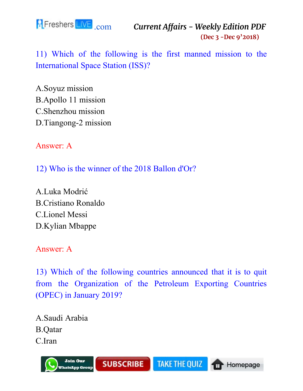

11) Which of the following is the first manned mission to the International Space Station (ISS)?

A.Soyuz mission B.Apollo 11 mission C.Shenzhou mission D.Tiangong-2 mission

Answer: A

12) Who is the winner of the 2018 Ballon d'Or?

A.Luka Modrić B.Cristiano Ronaldo C.Lionel Messi D.Kylian Mbappe

Answer: A

13) Which of the following countries announced that it is to quit from the Organization of the Petroleum Exporting Countries (OPEC) in January 2019?

A.Saudi Arabia B.Qatar C.Iran

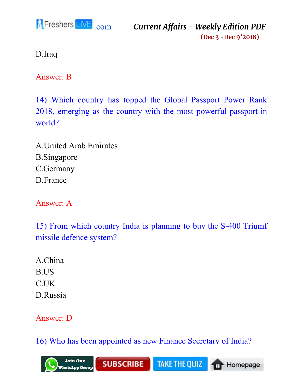

D.Iraq

Answer: B

14) Which country has topped the Global Passport Power Rank 2018, emerging as the country with the most powerful passport in world?

A.United Arab Emirates B.Singapore C.Germany D.France

Answer: A

15) From which country India is planning to buy the S-400 Triumf missile defence system?

A.China B.US C.UK D.Russia

### Answer: D

16) Who has been appointed as new Finance Secretary of India?

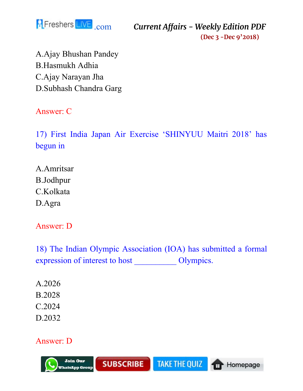

A.Ajay Bhushan Pandey B.Hasmukh Adhia C.Ajay Narayan Jha D.Subhash Chandra Garg

Answer: C

17) First India Japan Air Exercise 'SHINYUU Maitri 2018' has begun in

A.Amritsar B.Jodhpur C.Kolkata D.Agra

Answer: D

18) The Indian Olympic Association (IOA) has submitted a formal expression of interest to host \_\_\_\_\_\_\_\_\_\_ Olympics.

A.2026 B.2028 C.2024 D.2032

#### Answer: D

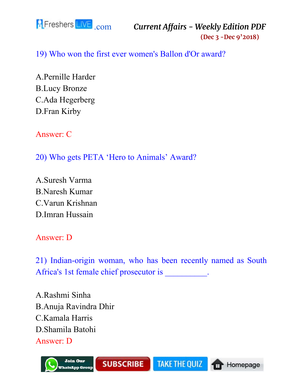

19) Who won the first ever women's Ballon d'Or award?

A.Pernille Harder B.Lucy Bronze C.Ada Hegerberg D.Fran Kirby

Answer: C

20) Who gets PETA 'Hero to Animals' Award?

A.Suresh Varma B.Naresh Kumar C.Varun Krishnan D.Imran Hussain

Answer: D

21) Indian-origin woman, who has been recently named as South Africa's 1st female chief prosecutor is \_\_\_\_\_\_\_\_\_\_.

A.Rashmi Sinha B.Anuja Ravindra Dhir C.Kamala Harris D.Shamila Batohi Answer: D

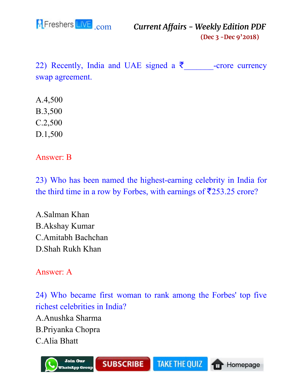

22) Recently, India and UAE signed a  $\bar{\tau}$  -crore currency swap agreement.

- A.4,500
- B.3,500
- C.2,500
- D.1,500

Answer: B

23) Who has been named the highest-earning celebrity in India for the third time in a row by Forbes, with earnings of  $\overline{\textless}$  253.25 crore?

A.Salman Khan B.Akshay Kumar C.Amitabh Bachchan D.Shah Rukh Khan

Answer: A

24) Who became first woman to rank among the Forbes' top five richest celebrities in India?

A.Anushka Sharma B.Priyanka Chopra C.Alia Bhatt

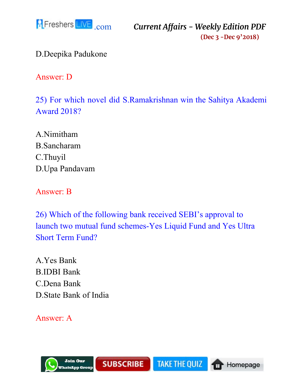

D.Deepika Padukone

Answer: D

25) For which novel did S.Ramakrishnan win the Sahitya Akademi Award 2018?

A.Nimitham B.Sancharam C.Thuyil D.Upa Pandavam

Answer: B

26) Which of the following bank received SEBI's approval to launch two mutual fund schemes-Yes Liquid Fund and Yes Ultra Short Term Fund?

A.Yes Bank B.IDBI Bank C.Dena Bank D.State Bank of India

Answer: A

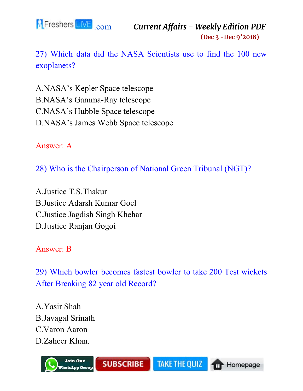

27) Which data did the NASA Scientists use to find the 100 new exoplanets?

A.NASA's Kepler Space telescope B.NASA's Gamma-Ray telescope C.NASA's Hubble Space telescope D.NASA's James Webb Space telescope

Answer: A

28) Who is the Chairperson of National Green Tribunal (NGT)?

A.Justice T.S.Thakur B.Justice Adarsh Kumar Goel C.Justice Jagdish Singh Khehar D.Justice Ranjan Gogoi

Answer: B

29) Which bowler becomes fastest bowler to take 200 Test wickets After Breaking 82 year old Record?

A.Yasir Shah B.Javagal Srinath C.Varon Aaron D.Zaheer Khan.

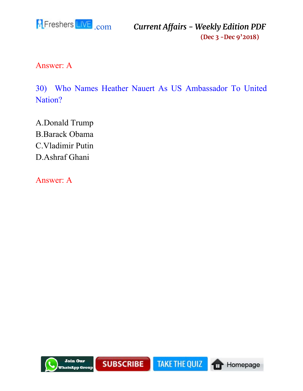

Answer: A

30) Who Names Heather Nauert As US Ambassador To United Nation?

A.Donald Trump B.Barack Obama C.Vladimir Putin D.Ashraf Ghani

Answer: A

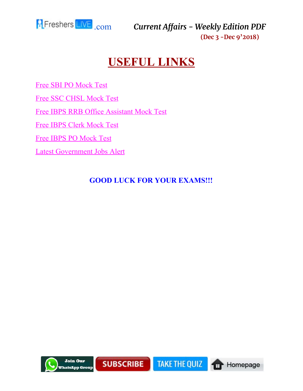<span id="page-50-0"></span>

# **USEFUL LINKS**

[Free SBI PO Mock Test](https://www.fresherslive.com/mock-test/sbi-po-prelims?utm_source=capdf&utm_medium=capdf&utm_campaign=capdf&utm_term=capdf&utm_content=capdf) [Free SSC CHSL Mock Test](https://www.fresherslive.com/mock-test/chsl-tier-I?utm_source=capdf&utm_medium=capdf&utm_campaign=capdf&utm_term=capdf&utm_content=capdf) [Free IBPS RRB Office Assistant Mock Test](https://www.fresherslive.com/mock-test/ibps-rrb-office-assistant-prelims?utm_source=capdf&utm_medium=capdf&utm_campaign=capdf&utm_term=capdf&utm_content=capdf) [Free IBPS Clerk Mock Test](https://www.fresherslive.com/mock-test/ibps-clerk-exam?utm_source=capdf&utm_medium=capdf&utm_campaign=capdf&utm_term=capdf&utm_content=capdf) [Free IBPS PO Mock Test](https://www.fresherslive.com/mock-test/ibps-po-prelims?utm_source=capdf&utm_medium=capdf&utm_campaign=capdf&utm_term=capdf&utm_content=capdf) [Latest Government Jobs Alert](https://goo.gl/eLGP5J)

#### **GOOD LUCK FOR YOUR EXAMS!!!**